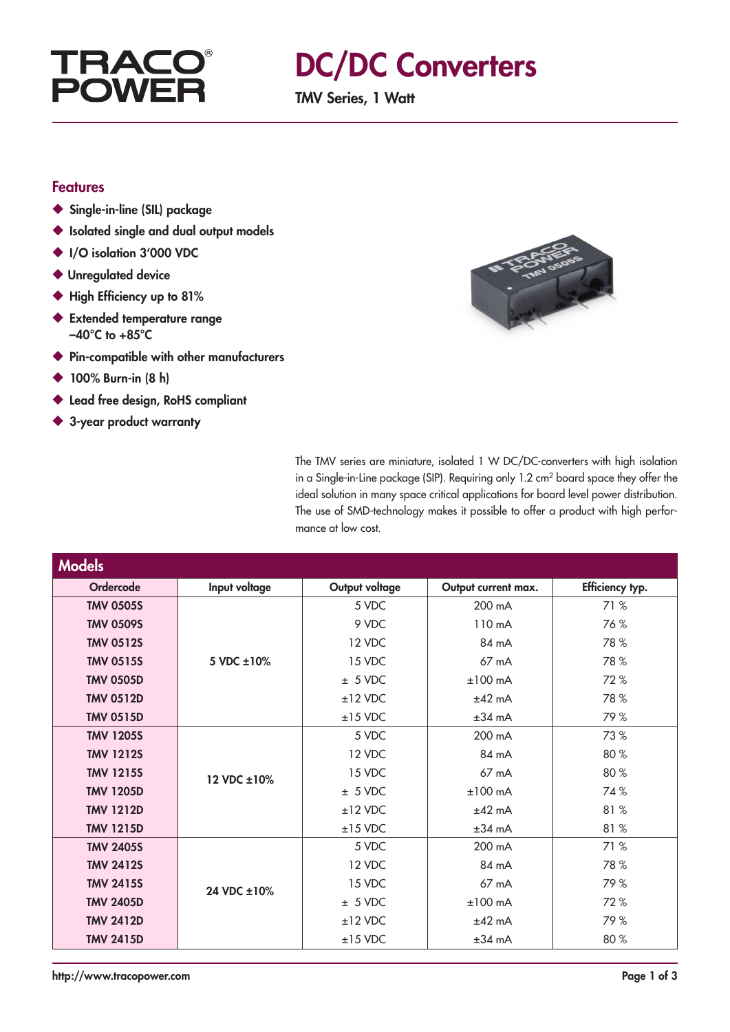

## DC/DC Converters

TMV Series, 1 Watt

## Features

- ◆ Single-in-line (SIL) package
- ◆ Isolated single and dual output models
- ◆ I/O isolation 3'000 VDC
- ◆ Unregulated device
- ◆ High Efficiency up to 81%
- ◆ Extended temperature range  $-40^{\circ}$ C to  $+85^{\circ}$ C
- ◆ Pin-compatible with other manufacturers
- ◆ 100% Burn-in (8 h)
- ◆ Lead free design, RoHS compliant
- ◆ 3-year product warranty



The TMV series are miniature, isolated 1 W DC/DC-converters with high isolation in a Single-in-Line package (SIP). Requiring only 1.2 cm2 board space they offer the ideal solution in many space critical applications for board level power distribution. The use of SMD-technology makes it possible to offer a product with high performance at low cost.

| <b>Models</b>    |               |                |                     |                 |
|------------------|---------------|----------------|---------------------|-----------------|
| Ordercode        | Input voltage | Output voltage | Output current max. | Efficiency typ. |
| <b>TMV 0505S</b> |               | 5 VDC          | 200 mA              | 71%             |
| <b>TMV 0509S</b> |               | 9 VDC          | 110 mA              | 76%             |
| <b>TMV 0512S</b> |               | 12 VDC         | 84 mA               | 78%             |
| <b>TMV 0515S</b> | 5 VDC ±10%    | 15 VDC         | $67 \text{ mA}$     | 78%             |
| <b>TMV 0505D</b> |               | $± 5$ VDC      | $±100$ mA           | 72%             |
| <b>TMV 0512D</b> |               | $±12$ VDC      | $±42$ mA            | 78%             |
| <b>TMV 0515D</b> |               | $±15$ VDC      | $±34$ mA            | 79%             |
| <b>TMV 1205S</b> |               | 5 VDC          | 200 mA              | 73%             |
| <b>TMV 1212S</b> | 12 VDC ±10%   | 12 VDC         | 84 mA               | 80%             |
| <b>TMV 1215S</b> |               | 15 VDC         | 67 mA               | 80%             |
| <b>TMV 1205D</b> |               | $± 5$ VDC      | $±100$ mA           | 74%             |
| <b>TMV 1212D</b> |               | $±12$ VDC      | $±42$ mA            | 81%             |
| <b>TMV 1215D</b> |               | $±15$ VDC      | $±34$ mA            | 81%             |
| <b>TMV 2405S</b> |               | 5 VDC          | 200 mA              | 71 %            |
| <b>TMV 2412S</b> |               | 12 VDC         | 84 mA               | 78%             |
| <b>TMV 2415S</b> | 24 VDC ±10%   | 15 VDC         | 67 mA               | 79%             |
| <b>TMV 2405D</b> |               | $± 5$ VDC      | $±100$ mA           | 72%             |
| <b>TMV 2412D</b> |               | $±12$ VDC      | $±42$ mA            | 79%             |
| <b>TMV 2415D</b> |               | $±15$ VDC      | $±34$ mA            | 80%             |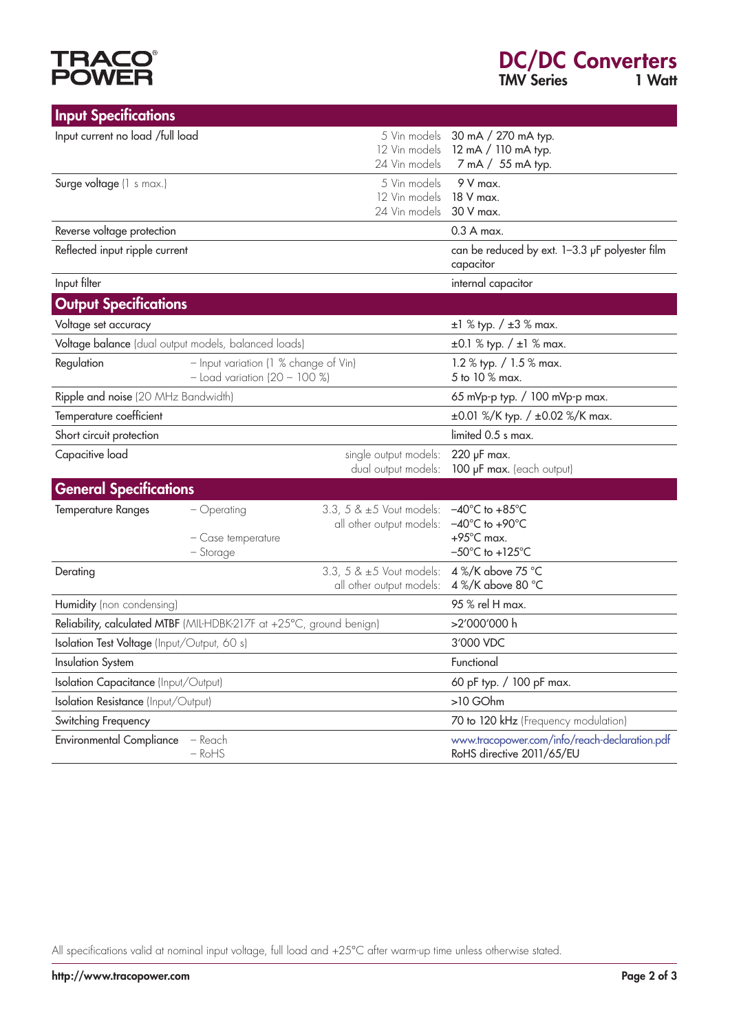## **TRACO®**<br>POWER

| <b>Input Specifications</b>                                          |                                                                          |                                                           |                                                                                                                                          |
|----------------------------------------------------------------------|--------------------------------------------------------------------------|-----------------------------------------------------------|------------------------------------------------------------------------------------------------------------------------------------------|
| Input current no load /full load                                     |                                                                          | 5 Vin models<br>12 Vin models<br>24 Vin models            | 30 mA / 270 mA typ.<br>12 mA / 110 mA typ.<br>7 mA / 55 mA typ.                                                                          |
| Surge voltage (1 s max.)                                             |                                                                          | 5 Vin models<br>12 Vin models<br>24 Vin models            | 9 V max.<br>18 V max.<br>30 V max.                                                                                                       |
| Reverse voltage protection                                           |                                                                          |                                                           | $0.3A$ max.                                                                                                                              |
| Reflected input ripple current                                       |                                                                          |                                                           | can be reduced by ext. 1-3.3 µF polyester film<br>capacitor                                                                              |
| Input filter                                                         |                                                                          |                                                           | internal capacitor                                                                                                                       |
| <b>Output Specifications</b>                                         |                                                                          |                                                           |                                                                                                                                          |
| Voltage set accuracy                                                 |                                                                          |                                                           | $\pm 1$ % typ. / $\pm 3$ % max.                                                                                                          |
| Voltage balance (dual output models, balanced loads)                 |                                                                          |                                                           | $\pm 0.1$ % typ. / $\pm 1$ % max.                                                                                                        |
| Regulation                                                           | - Input variation (1 % change of Vin)<br>$-$ Load variation (20 - 100 %) |                                                           | 1.2 % typ. / 1.5 % max.<br>5 to 10 % max.                                                                                                |
| Ripple and noise (20 MHz Bandwidth)                                  |                                                                          |                                                           | 65 mVp-p typ. / 100 mVp-p max.                                                                                                           |
| Temperature coefficient                                              |                                                                          |                                                           | ±0.01 %/K typ. / ±0.02 %/K max.                                                                                                          |
| Short circuit protection                                             |                                                                          |                                                           | limited 0.5 s max.                                                                                                                       |
| Capacitive load                                                      | single output models:<br>dual output models:                             |                                                           | 220 µF max.<br>100 µF max. (each output)                                                                                                 |
| <b>General Specifications</b>                                        |                                                                          |                                                           |                                                                                                                                          |
| <b>Temperature Ranges</b>                                            | - Operating<br>- Case temperature<br>- Storage                           | 3.3, 5 & $\pm$ 5 Vout models:<br>all other output models: | $-40^{\circ}$ C to $+85^{\circ}$ C<br>$-40^{\circ}$ C to +90 $^{\circ}$ C<br>$+95^{\circ}$ C max.<br>$-50^{\circ}$ C to $+125^{\circ}$ C |
| Derating                                                             |                                                                          | 3.3, 5 & $\pm$ 5 Vout models:<br>all other output models: | 4 %/K above 75 °C<br>4 %/K above 80 °C                                                                                                   |
| Humidity (non condensing)                                            |                                                                          |                                                           | 95 % rel H max.                                                                                                                          |
| Reliability, calculated MTBF (MIL-HDBK-217F at +25°C, ground benign) |                                                                          | >2'000'000 h                                              |                                                                                                                                          |
| Isolation Test Voltage (Input/Output, 60 s)                          |                                                                          | 3'000 VDC                                                 |                                                                                                                                          |
| <b>Insulation System</b>                                             |                                                                          | Functional                                                |                                                                                                                                          |
| <b>Isolation Capacitance (Input/Output)</b>                          |                                                                          | 60 pF typ. / 100 pF max.                                  |                                                                                                                                          |
| <b>Isolation Resistance (Input/Output)</b>                           |                                                                          | >10 GOhm                                                  |                                                                                                                                          |
| Switching Frequency                                                  |                                                                          |                                                           | 70 to 120 kHz (Frequency modulation)                                                                                                     |
| <b>Environmental Compliance</b>                                      | - Reach<br>$-RoHS$                                                       |                                                           | www.tracopower.com/info/reach-declaration.pdf<br>RoHS directive 2011/65/EU                                                               |

All specifications valid at nominal input voltage, full load and +25°C after warm-up time unless otherwise stated.